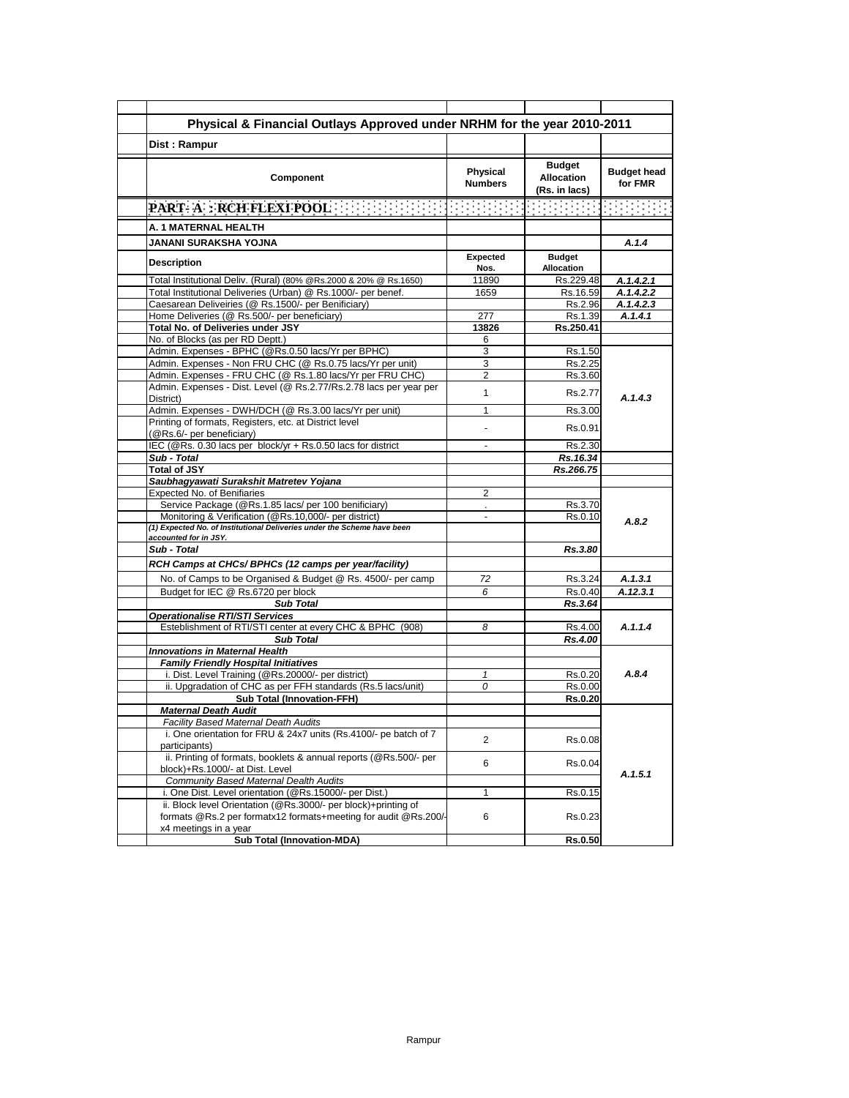| Physical & Financial Outlays Approved under NRHM for the year 2010-2011                                                                                   |                            |                                                     |                               |
|-----------------------------------------------------------------------------------------------------------------------------------------------------------|----------------------------|-----------------------------------------------------|-------------------------------|
| Dist: Rampur                                                                                                                                              |                            |                                                     |                               |
| Component                                                                                                                                                 | Physical<br><b>Numbers</b> | <b>Budget</b><br><b>Allocation</b><br>(Rs. in lacs) | <b>Budget head</b><br>for FMR |
| <b>PART-A: RCH FLEXI POOL</b>                                                                                                                             |                            |                                                     |                               |
| A. 1 MATERNAL HEALTH                                                                                                                                      |                            |                                                     |                               |
| JANANI SURAKSHA YOJNA                                                                                                                                     |                            |                                                     | A.1.4                         |
| <b>Description</b>                                                                                                                                        | <b>Expected</b><br>Nos.    | <b>Budget</b><br><b>Allocation</b>                  |                               |
| Total Institutional Deliv. (Rural) (80% @Rs.2000 & 20% @ Rs.1650)                                                                                         | 11890                      | Rs.229.48                                           | A.1.4.2.1                     |
| Total Institutional Deliveries (Urban) @ Rs.1000/- per benef.                                                                                             | 1659                       | Rs.16.59                                            | A.1.4.2.2                     |
| Caesarean Deliveiries (@ Rs.1500/- per Benificiary)                                                                                                       |                            | Rs.2.96                                             | A.1.4.2.3                     |
| Home Deliveries (@ Rs.500/- per beneficiary)                                                                                                              | 277                        | Rs.1.39                                             | A.1.4.1                       |
| Total No. of Deliveries under JSY                                                                                                                         | 13826                      | Rs.250.41                                           |                               |
| No. of Blocks (as per RD Deptt.)                                                                                                                          | 6                          |                                                     |                               |
| Admin. Expenses - BPHC (@Rs.0.50 lacs/Yr per BPHC)                                                                                                        | 3                          | Rs.1.50                                             |                               |
| Admin. Expenses - Non FRU CHC (@ Rs.0.75 lacs/Yr per unit)                                                                                                | 3                          | Rs.2.25                                             |                               |
| Admin. Expenses - FRU CHC (@ Rs.1.80 lacs/Yr per FRU CHC)<br>Admin. Expenses - Dist. Level (@ Rs.2.77/Rs.2.78 lacs per year per                           | 2<br>$\mathbf{1}$          | Rs.3.60<br>Rs.2.77                                  |                               |
| District)<br>Admin. Expenses - DWH/DCH (@ Rs.3.00 lacs/Yr per unit)                                                                                       | 1                          | Rs.3.00                                             | A.1.4.3                       |
| Printing of formats, Registers, etc. at District level                                                                                                    |                            |                                                     |                               |
| (@Rs.6/- per beneficiary)                                                                                                                                 |                            | Rs.0.91                                             |                               |
| IEC (@Rs. 0.30 lacs per block/yr + Rs.0.50 lacs for district                                                                                              | $\sim$                     | Rs.2.30                                             |                               |
| Sub - Total                                                                                                                                               |                            | Rs.16.34                                            |                               |
| <b>Total of JSY</b>                                                                                                                                       |                            | Rs.266.75                                           |                               |
| Saubhagyawati Surakshit Matretev Yojana                                                                                                                   |                            |                                                     |                               |
| Expected No. of Benifiaries                                                                                                                               | 2                          |                                                     |                               |
| Service Package (@Rs.1.85 lacs/ per 100 benificiary)                                                                                                      | $\sim$                     | Rs.3.70                                             |                               |
| Monitoring & Verification (@Rs.10,000/- per district)<br>(1) Expected No. of Institutional Deliveries under the Scheme have been<br>accounted for in JSY. |                            | Rs.0.10                                             | A.8.2                         |
| Sub - Total                                                                                                                                               |                            | Rs.3.80                                             |                               |
| RCH Camps at CHCs/ BPHCs (12 camps per year/facility)                                                                                                     |                            |                                                     |                               |
| No. of Camps to be Organised & Budget @ Rs. 4500/- per camp                                                                                               | 72                         | Rs.3.24                                             | A.1.3.1                       |
| Budget for IEC @ Rs.6720 per block                                                                                                                        | 6                          | Rs.0.40                                             | A.12.3.1                      |
| <b>Sub Total</b>                                                                                                                                          |                            | Rs.3.64                                             |                               |
| <b>Operationalise RTI/STI Services</b>                                                                                                                    |                            |                                                     |                               |
| Esteblishment of RTI/STI center at every CHC & BPHC (908)                                                                                                 | 8                          | Rs.4.00                                             | A.1.1.4                       |
| <b>Sub Total</b>                                                                                                                                          |                            | Rs.4.00                                             |                               |
| <b>Innovations in Maternal Health</b>                                                                                                                     |                            |                                                     |                               |
| <b>Family Friendly Hospital Initiatives</b>                                                                                                               |                            |                                                     |                               |
| i. Dist. Level Training (@Rs.20000/- per district)                                                                                                        | $\mathbf{1}$               | Rs.0.20                                             | A.8.4                         |
| ii. Upgradation of CHC as per FFH standards (Rs.5 lacs/unit)                                                                                              | 0                          | Rs.0.00                                             |                               |
| <b>Sub Total (Innovation-FFH)</b>                                                                                                                         |                            | <b>Rs.0.20</b>                                      |                               |
| <b>Maternal Death Audit</b>                                                                                                                               |                            |                                                     |                               |
| <b>Facility Based Maternal Death Audits</b>                                                                                                               |                            |                                                     |                               |
| i. One orientation for FRU & 24x7 units (Rs.4100/- pe batch of 7                                                                                          | 2                          | Rs.0.08                                             |                               |
| participants)                                                                                                                                             |                            |                                                     |                               |
| ii. Printing of formats, booklets & annual reports (@Rs.500/- per<br>block)+Rs.1000/- at Dist. Level                                                      | 6                          | Rs.0.04                                             |                               |
| Community Based Maternal Dealth Audits                                                                                                                    |                            |                                                     | A.1.5.1                       |
| i. One Dist. Level orientation (@Rs.15000/- per Dist.)                                                                                                    | 1                          | Rs.0.15                                             |                               |
| ii. Block level Orientation (@Rs.3000/- per block)+printing of                                                                                            |                            |                                                     |                               |
| formats @Rs.2 per formatx12 formats+meeting for audit @Rs.200/-                                                                                           | 6                          | Rs.0.23                                             |                               |
| x4 meetings in a year<br><b>Sub Total (Innovation-MDA)</b>                                                                                                |                            |                                                     |                               |
|                                                                                                                                                           |                            | <b>Rs.0.50</b>                                      |                               |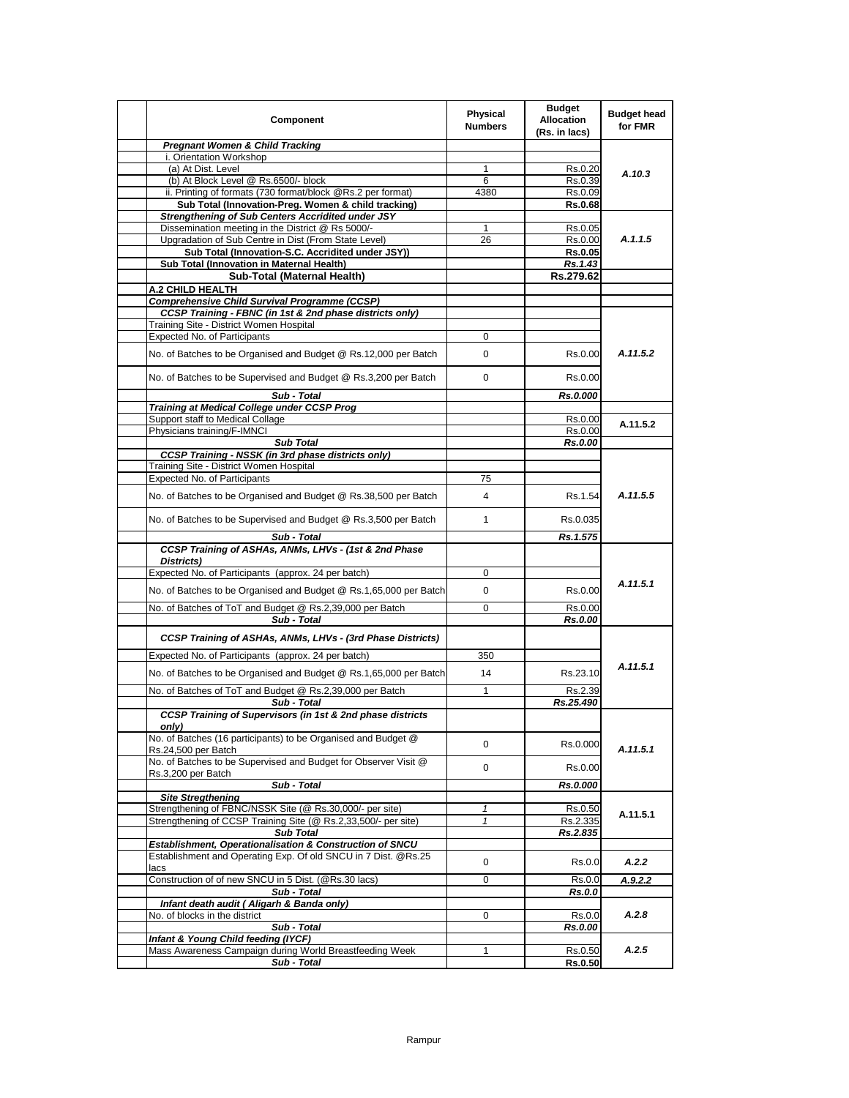| Component                                                                            | Physical<br><b>Numbers</b> | <b>Budget</b><br><b>Allocation</b><br>(Rs. in lacs) | <b>Budget head</b><br>for FMR |
|--------------------------------------------------------------------------------------|----------------------------|-----------------------------------------------------|-------------------------------|
| <b>Pregnant Women &amp; Child Tracking</b>                                           |                            |                                                     |                               |
| i. Orientation Workshop<br>(a) At Dist. Level                                        | 1                          | Rs.0.20                                             |                               |
| (b) At Block Level @ Rs.6500/- block                                                 | 6                          | Rs.0.39                                             | A.10.3                        |
| ii. Printing of formats (730 format/block @Rs.2 per format)                          | 4380                       | Rs.0.09                                             |                               |
| Sub Total (Innovation-Preg. Women & child tracking)                                  |                            | Rs.0.68                                             |                               |
| Strengthening of Sub Centers Accridited under JSY                                    |                            |                                                     |                               |
| Dissemination meeting in the District @ Rs 5000/-                                    | 1                          | Rs.0.05                                             |                               |
| Upgradation of Sub Centre in Dist (From State Level)                                 | 26                         | Rs.0.00                                             | A.1.1.5                       |
| Sub Total (Innovation-S.C. Accridited under JSY))                                    |                            | <b>Rs.0.05</b>                                      |                               |
| Sub Total (Innovation in Maternal Health)                                            |                            | Rs.1.43                                             |                               |
| Sub-Total (Maternal Health)                                                          |                            | Rs.279.62                                           |                               |
| A.2 CHILD HEALTH<br><b>Comprehensive Child Survival Programme (CCSP)</b>             |                            |                                                     |                               |
| CCSP Training - FBNC (in 1st & 2nd phase districts only)                             |                            |                                                     |                               |
| Training Site - District Women Hospital                                              |                            |                                                     |                               |
| <b>Expected No. of Participants</b>                                                  | 0                          |                                                     |                               |
| No. of Batches to be Organised and Budget @ Rs.12,000 per Batch                      | $\Omega$                   | Rs.0.00                                             | A.11.5.2                      |
|                                                                                      |                            |                                                     |                               |
| No. of Batches to be Supervised and Budget @ Rs.3,200 per Batch                      | 0                          | Rs.0.00                                             |                               |
| Sub - Total                                                                          |                            | Rs.0.000                                            |                               |
| <b>Training at Medical College under CCSP Prog</b>                                   |                            |                                                     |                               |
| Support staff to Medical Collage                                                     |                            | Rs.0.00                                             | A.11.5.2                      |
| Physicians training/F-IMNCI<br><b>Sub Total</b>                                      |                            | Rs.0.00<br>Rs.0.00                                  |                               |
| <b>CCSP Training - NSSK (in 3rd phase districts only)</b>                            |                            |                                                     |                               |
| Training Site - District Women Hospital                                              |                            |                                                     |                               |
| <b>Expected No. of Participants</b>                                                  | 75                         |                                                     |                               |
| No. of Batches to be Organised and Budget @ Rs.38,500 per Batch                      | 4                          | Rs.1.54                                             | A.11.5.5                      |
| No. of Batches to be Supervised and Budget @ Rs.3,500 per Batch                      | $\mathbf{1}$               | Rs.0.035                                            |                               |
| Sub - Total                                                                          |                            | Rs.1.575                                            |                               |
| CCSP Training of ASHAs, ANMs, LHVs - (1st & 2nd Phase                                |                            |                                                     |                               |
| Districts)                                                                           |                            |                                                     |                               |
| Expected No. of Participants (approx. 24 per batch)                                  | 0                          |                                                     |                               |
| No. of Batches to be Organised and Budget @ Rs.1,65,000 per Batch                    | 0                          | Rs.0.00                                             | A.11.5.1                      |
| No. of Batches of ToT and Budget @ Rs.2,39,000 per Batch                             | $\Omega$                   | Rs.0.00                                             |                               |
| Sub - Total                                                                          |                            | Rs.0.00                                             |                               |
| CCSP Training of ASHAs, ANMs, LHVs - (3rd Phase Districts)                           |                            |                                                     |                               |
| Expected No. of Participants (approx. 24 per batch)                                  | 350                        |                                                     |                               |
| No. of Batches to be Organised and Budget @ Rs.1,65,000 per Batch                    | 14                         | Rs.23.10                                            | A.11.5.1                      |
|                                                                                      |                            |                                                     |                               |
| No. of Batches of ToT and Budget @ Rs.2,39,000 per Batch                             | 1                          | Rs.2.39                                             |                               |
| Sub - Total                                                                          |                            | Rs.25.490                                           |                               |
| CCSP Training of Supervisors (in 1st & 2nd phase districts<br>only)                  |                            |                                                     |                               |
| No. of Batches (16 participants) to be Organised and Budget @<br>Rs.24,500 per Batch | 0                          | Rs.0.000                                            | A.11.5.1                      |
| No. of Batches to be Supervised and Budget for Observer Visit @                      | 0                          | Rs.0.00                                             |                               |
| Rs.3,200 per Batch<br>Sub - Total                                                    |                            | Rs.0.000                                            |                               |
| <b>Site Stregthening</b>                                                             |                            |                                                     |                               |
| Strengthening of FBNC/NSSK Site (@ Rs.30,000/- per site)                             | 1                          | Rs.0.50                                             |                               |
| Strengthening of CCSP Training Site (@ Rs.2,33,500/- per site)                       | $\mathbf{1}$               | Rs.2.335                                            | A.11.5.1                      |
| <b>Sub Total</b>                                                                     |                            | Rs.2.835                                            |                               |
| Establishment, Operationalisation & Construction of SNCU                             |                            |                                                     |                               |
| Establishment and Operating Exp. Of old SNCU in 7 Dist. @Rs.25<br>lacs               | 0                          | Rs.0.0                                              | A.2.2                         |
| Construction of of new SNCU in 5 Dist. (@Rs.30 lacs)                                 | 0                          | Rs.0.0                                              | A.9.2.2                       |
| Sub - Total                                                                          |                            | Rs.0.0                                              |                               |
| Infant death audit (Aligarh & Banda only)                                            |                            |                                                     |                               |
| No. of blocks in the district                                                        | 0                          | Rs.0.0                                              | A.2.8                         |
| Sub - Total                                                                          |                            | Rs.0.00                                             |                               |
| Infant & Young Child feeding (IYCF)                                                  |                            |                                                     |                               |
| Mass Awareness Campaign during World Breastfeeding Week<br>Sub - Total               | 1                          | Rs.0.50                                             | A.2.5                         |
|                                                                                      |                            | <b>Rs.0.50</b>                                      |                               |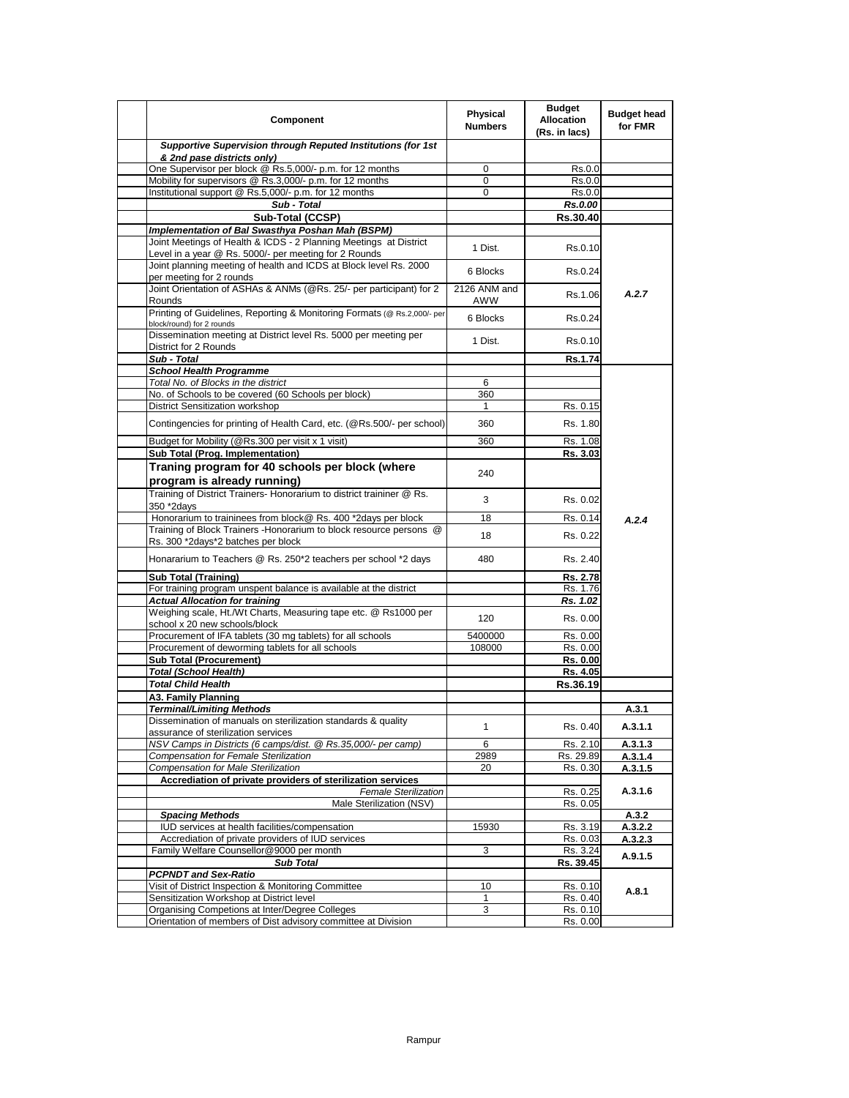| Component                                                                                                                                 | Physical<br><b>Numbers</b> | <b>Budget</b><br><b>Allocation</b><br>(Rs. in lacs) | <b>Budget head</b><br>for FMR |
|-------------------------------------------------------------------------------------------------------------------------------------------|----------------------------|-----------------------------------------------------|-------------------------------|
| Supportive Supervision through Reputed Institutions (for 1st<br>& 2nd pase districts only)                                                |                            |                                                     |                               |
| One Supervisor per block @ Rs.5,000/- p.m. for 12 months                                                                                  | 0                          | Rs.0.0                                              |                               |
| Mobility for supervisors @ Rs.3,000/- p.m. for 12 months                                                                                  | 0                          | Rs.0.0                                              |                               |
| Institutional support @ Rs.5,000/- p.m. for 12 months                                                                                     | $\Omega$                   | Rs.0.0                                              |                               |
| Sub - Total                                                                                                                               |                            | Rs.0.00                                             |                               |
| Sub-Total (CCSP)                                                                                                                          |                            | Rs.30.40                                            |                               |
| Implementation of Bal Swasthya Poshan Mah (BSPM)                                                                                          |                            |                                                     |                               |
| Joint Meetings of Health & ICDS - 2 Planning Meetings at District<br>Level in a year @ Rs. 5000/- per meeting for 2 Rounds                | 1 Dist.                    | Rs.0.10                                             |                               |
| Joint planning meeting of health and ICDS at Block level Rs. 2000<br>per meeting for 2 rounds                                             | 6 Blocks                   | Rs.0.24                                             |                               |
| Joint Orientation of ASHAs & ANMs (@Rs. 25/- per participant) for 2<br>Rounds                                                             | 2126 ANM and<br>AWW        | Rs.1.06                                             | A.2.7                         |
| Printing of Guidelines, Reporting & Monitoring Formats (@ Rs.2,000/- per<br>block/round) for 2 rounds                                     | 6 Blocks                   | Rs.0.24                                             |                               |
| Dissemination meeting at District level Rs. 5000 per meeting per<br>District for 2 Rounds                                                 | 1 Dist.                    | Rs.0.10                                             |                               |
| Sub - Total                                                                                                                               |                            | Rs.1.74                                             |                               |
| <b>School Health Programme</b>                                                                                                            |                            |                                                     |                               |
| Total No. of Blocks in the district                                                                                                       | 6                          |                                                     |                               |
| No. of Schools to be covered (60 Schools per block)                                                                                       | 360                        |                                                     |                               |
| District Sensitization workshop<br>Contingencies for printing of Health Card, etc. (@Rs.500/- per school)                                 | 1<br>360                   | Rs. 0.15<br>Rs. 1.80                                |                               |
| Budget for Mobility (@Rs.300 per visit x 1 visit)                                                                                         | 360                        | Rs. 1.08                                            |                               |
| Sub Total (Prog. Implementation)                                                                                                          |                            | Rs. 3.03                                            |                               |
| Traning program for 40 schools per block (where<br>program is already running)                                                            | 240                        |                                                     |                               |
| Training of District Trainers- Honorarium to district traininer @ Rs.<br>350 *2days                                                       | 3                          | Rs. 0.02                                            |                               |
| Honorarium to traininees from block@ Rs. 400 *2days per block                                                                             | 18                         | Rs. 0.14                                            | A.2.4                         |
| Training of Block Trainers - Honorarium to block resource persons @                                                                       | 18                         | Rs. 0.22                                            |                               |
| Rs. 300 *2days*2 batches per block                                                                                                        |                            |                                                     |                               |
| Honararium to Teachers @ Rs. 250*2 teachers per school *2 days                                                                            | 480                        | Rs. 2.40                                            |                               |
| Sub Total (Training)<br>For training program unspent balance is available at the district                                                 |                            | Rs. 2.78<br>Rs. 1.76                                |                               |
|                                                                                                                                           |                            |                                                     |                               |
| <b>Actual Allocation for training</b><br>Weighing scale, Ht./Wt Charts, Measuring tape etc. @ Rs1000 per<br>school x 20 new schools/block | 120                        | Rs. 1.02<br>Rs. 0.00                                |                               |
| Procurement of IFA tablets (30 mg tablets) for all schools                                                                                | 5400000                    | Rs. 0.00                                            |                               |
| Procurement of deworming tablets for all schools                                                                                          | 108000                     | Rs. 0.00                                            |                               |
| <b>Sub Total (Procurement)</b>                                                                                                            |                            | Rs. 0.00                                            |                               |
| <b>Total (School Health)</b>                                                                                                              |                            | Rs. 4.05                                            |                               |
| <b>Total Child Health</b>                                                                                                                 |                            | Rs.36.19                                            |                               |
| A3. Family Planning                                                                                                                       |                            |                                                     |                               |
| Terminal/Limiting Methods                                                                                                                 |                            |                                                     | A.3.1                         |
| uissemination or manuals on sterilization standards & quality<br>assurance of sterilization services                                      | $\mathbf{1}$               | Rs. 0.40                                            | A.3.1.1                       |
| NSV Camps in Districts (6 camps/dist. @ Rs.35,000/- per camp)                                                                             | 6                          | Rs. 2.10                                            | A.3.1.3                       |
| Compensation for Female Sterilization                                                                                                     | 2989                       | Rs. 29.89                                           | A.3.1.4                       |
| <b>Compensation for Male Sterilization</b>                                                                                                | 20                         | Rs. 0.30                                            | A.3.1.5                       |
| Accrediation of private providers of sterilization services                                                                               |                            |                                                     |                               |
| <b>Female Sterilization</b>                                                                                                               |                            | Rs. 0.25                                            | A.3.1.6                       |
| Male Sterilization (NSV)                                                                                                                  |                            | Rs. 0.05                                            |                               |
| <b>Spacing Methods</b>                                                                                                                    |                            |                                                     | A.3.2                         |
| IUD services at health facilities/compensation                                                                                            | 15930                      | Rs. 3.19                                            | A.3.2.2                       |
| Accrediation of private providers of IUD services                                                                                         |                            | Rs. 0.03                                            | A.3.2.3                       |
| Family Welfare Counsellor@9000 per month                                                                                                  | 3                          | Rs. 3.24                                            |                               |
| <b>Sub Total</b>                                                                                                                          |                            | Rs. 39.45                                           | A.9.1.5                       |
| <b>PCPNDT</b> and Sex-Ratio                                                                                                               |                            |                                                     |                               |
| Visit of District Inspection & Monitoring Committee                                                                                       | 10                         | Rs. 0.10                                            |                               |
| Sensitization Workshop at District level                                                                                                  | 1                          | Rs. 0.40                                            | A.8.1                         |
| Organising Competions at Inter/Degree Colleges                                                                                            | 3                          | Rs. 0.10                                            |                               |
| Orientation of members of Dist advisory committee at Division                                                                             |                            | Rs. 0.00                                            |                               |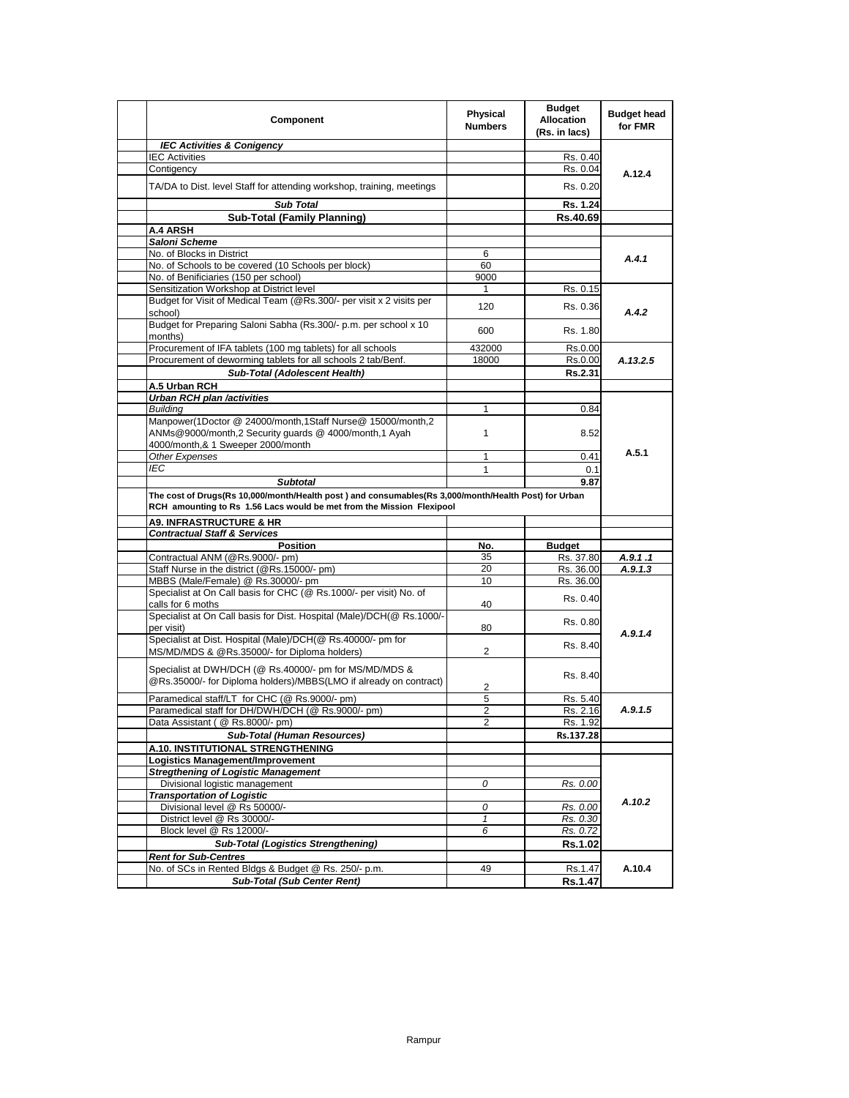| Component                                                                                                                   | Physical<br><b>Numbers</b> | <b>Budget</b><br><b>Allocation</b><br>(Rs. in lacs) | <b>Budget head</b><br>for FMR |
|-----------------------------------------------------------------------------------------------------------------------------|----------------------------|-----------------------------------------------------|-------------------------------|
| <b>IEC Activities &amp; Conigency</b>                                                                                       |                            |                                                     |                               |
| <b>IEC Activities</b>                                                                                                       |                            | Rs. 0.40                                            |                               |
| Contigency                                                                                                                  |                            | Rs. 0.04                                            | A.12.4                        |
| TA/DA to Dist. level Staff for attending workshop, training, meetings                                                       |                            | Rs. 0.20                                            |                               |
| <b>Sub Total</b>                                                                                                            |                            | Rs. 1.24                                            |                               |
| <b>Sub-Total (Family Planning)</b>                                                                                          |                            | Rs.40.69                                            |                               |
| <b>A.4 ARSH</b>                                                                                                             |                            |                                                     |                               |
| Saloni Scheme                                                                                                               |                            |                                                     |                               |
| No. of Blocks in District                                                                                                   | 6                          |                                                     | A.4.1                         |
| No. of Schools to be covered (10 Schools per block)                                                                         | 60                         |                                                     |                               |
| No. of Benificiaries (150 per school)                                                                                       | 9000                       |                                                     |                               |
| Sensitization Workshop at District level                                                                                    | 1                          | Rs. 0.15                                            |                               |
| Budget for Visit of Medical Team (@Rs.300/- per visit x 2 visits per<br>school)                                             | 120                        | Rs. 0.36                                            | A.4.2                         |
| Budget for Preparing Saloni Sabha (Rs.300/- p.m. per school x 10<br>months)                                                 | 600                        | Rs. 1.80                                            |                               |
| Procurement of IFA tablets (100 mg tablets) for all schools                                                                 | 432000                     | Rs.0.00                                             |                               |
| Procurement of deworming tablets for all schools 2 tab/Benf.                                                                | 18000                      | Rs.0.00                                             | A.13.2.5                      |
| Sub-Total (Adolescent Health)                                                                                               |                            | Rs.2.31                                             |                               |
| A.5 Urban RCH                                                                                                               |                            |                                                     |                               |
| <b>Urban RCH plan /activities</b>                                                                                           |                            |                                                     |                               |
| <b>Building</b>                                                                                                             | 1                          | 0.84                                                |                               |
| Manpower(1Doctor @ 24000/month,1Staff Nurse@ 15000/month,2                                                                  |                            |                                                     |                               |
| ANMs@9000/month,2 Security guards @ 4000/month,1 Ayah                                                                       | $\mathbf{1}$               | 8.52                                                |                               |
| 4000/month,& 1 Sweeper 2000/month                                                                                           |                            |                                                     |                               |
| Other Expenses                                                                                                              | 1                          | 0.41                                                | A.5.1                         |
| IEC                                                                                                                         | 1                          | 0.1                                                 |                               |
| <b>Subtotal</b>                                                                                                             |                            | 9.87                                                |                               |
| The cost of Drugs(Rs 10,000/month/Health post) and consumables(Rs 3,000/month/Health Post) for Urban                        |                            |                                                     |                               |
| RCH amounting to Rs 1.56 Lacs would be met from the Mission Flexipool                                                       |                            |                                                     |                               |
| <b>A9. INFRASTRUCTURE &amp; HR</b>                                                                                          |                            |                                                     |                               |
| <b>Contractual Staff &amp; Services</b>                                                                                     |                            |                                                     |                               |
| <b>Position</b>                                                                                                             | No.                        | <b>Budget</b>                                       |                               |
| Contractual ANM (@Rs.9000/- pm)                                                                                             | 35                         | Rs. 37.80                                           | A.9.1.1                       |
| Staff Nurse in the district (@Rs.15000/- pm)                                                                                | 20                         | Rs. 36.00                                           | A.9.1.3                       |
| MBBS (Male/Female) @ Rs.30000/- pm                                                                                          | 10                         | Rs. 36.00                                           |                               |
| Specialist at On Call basis for CHC (@ Rs.1000/- per visit) No. of                                                          |                            | Rs. 0.40                                            |                               |
| calls for 6 moths                                                                                                           | 40                         |                                                     |                               |
| Specialist at On Call basis for Dist. Hospital (Male)/DCH(@ Rs.1000/-                                                       |                            | Rs. 0.80                                            |                               |
| per visit)<br>Specialist at Dist. Hospital (Male)/DCH(@ Rs.40000/- pm for                                                   | 80                         |                                                     | A.9.1.4                       |
| MS/MD/MDS & @Rs.35000/- for Diploma holders)                                                                                | $\overline{2}$             | Rs. 8.40                                            |                               |
|                                                                                                                             |                            |                                                     |                               |
| Specialist at DWH/DCH (@ Rs.40000/- pm for MS/MD/MDS &<br>@Rs.35000/- for Diploma holders)/MBBS(LMO if already on contract) | 2                          | Rs. 8.40                                            |                               |
| Paramedical staff/LT for CHC (@ Rs.9000/- pm)                                                                               | 5                          | Rs. 5.40                                            |                               |
| Paramedical staff for DH/DWH/DCH (@ Rs.9000/- pm)                                                                           | $\overline{c}$             | Rs. 2.16                                            | A.9.1.5                       |
| Data Assistant ( @ Rs.8000/- pm)                                                                                            | ۷                          | Rs. 1.92                                            |                               |
| <b>Sub-Total (Human Resources)</b>                                                                                          |                            | Rs.137.28                                           |                               |
| A.10. INSTITUTIONAL STRENGTHENING                                                                                           |                            |                                                     |                               |
| <b>Logistics Management/Improvement</b>                                                                                     |                            |                                                     |                               |
| <b>Stregthening of Logistic Management</b>                                                                                  |                            |                                                     |                               |
| Divisional logistic management                                                                                              | 0                          | Rs. 0.00                                            |                               |
| <b>Transportation of Logistic</b>                                                                                           |                            |                                                     |                               |
| Divisional level @ Rs 50000/-                                                                                               | 0                          | Rs. 0.00                                            | A.10.2                        |
| District level @ Rs 30000/-                                                                                                 | $\mathbf{1}$               | Rs. 0.30                                            |                               |
| Block level @ Rs 12000/-                                                                                                    | 6                          | Rs. 0.72                                            |                               |
| <b>Sub-Total (Logistics Strengthening)</b>                                                                                  |                            | Rs.1.02                                             |                               |
| <b>Rent for Sub-Centres</b>                                                                                                 |                            |                                                     |                               |
| No. of SCs in Rented Bldgs & Budget @ Rs. 250/- p.m.                                                                        | 49                         | Rs.1.47                                             | A.10.4                        |
| <b>Sub-Total (Sub Center Rent)</b>                                                                                          |                            | Rs.1.47                                             |                               |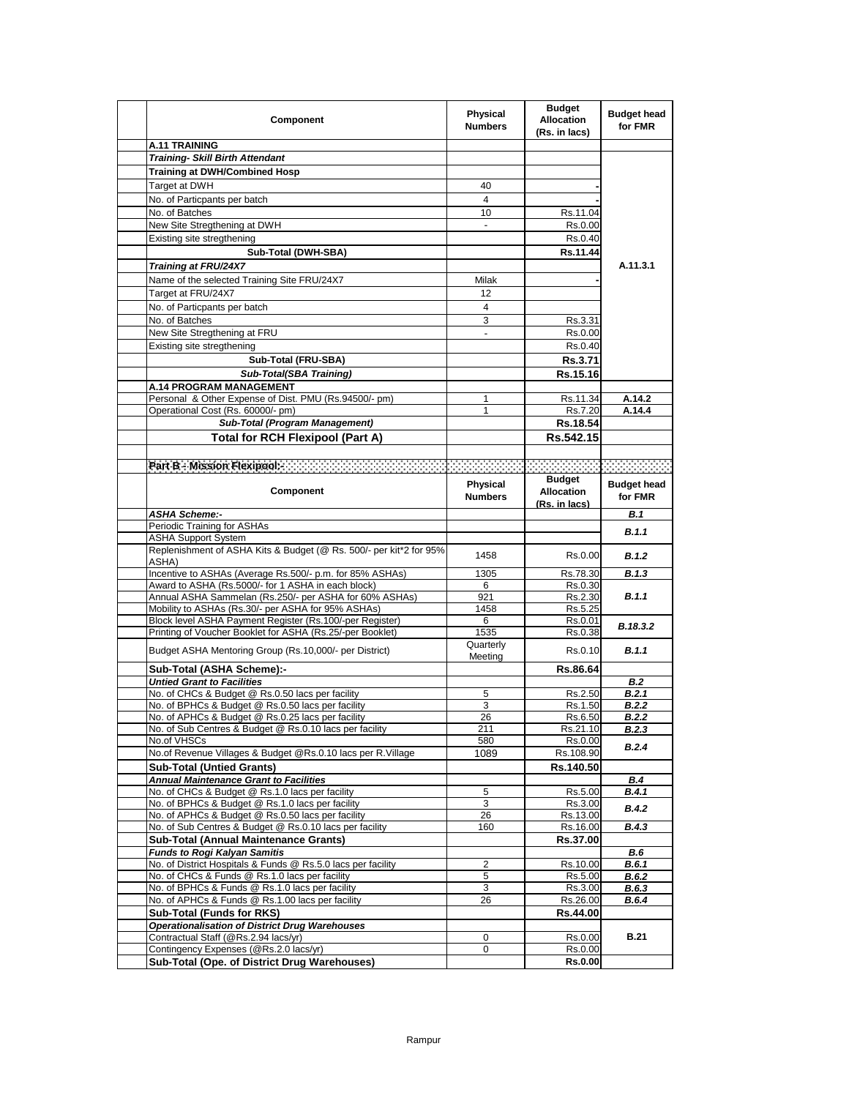| Component                                                                                   | Physical<br><b>Numbers</b> | <b>Budget</b><br><b>Allocation</b><br>(Rs. in lacs) | <b>Budget head</b><br>for FMR |
|---------------------------------------------------------------------------------------------|----------------------------|-----------------------------------------------------|-------------------------------|
| <b>A.11 TRAINING</b>                                                                        |                            |                                                     |                               |
| <b>Training- Skill Birth Attendant</b>                                                      |                            |                                                     |                               |
| Training at DWH/Combined Hosp                                                               |                            |                                                     |                               |
| Target at DWH                                                                               | 40                         |                                                     |                               |
| No. of Particpants per batch                                                                | 4                          |                                                     |                               |
| No. of Batches                                                                              | 10                         | Rs.11.04                                            |                               |
| New Site Stregthening at DWH                                                                |                            | Rs.0.00                                             |                               |
| Existing site stregthening                                                                  |                            | Rs.0.40                                             |                               |
| Sub-Total (DWH-SBA)                                                                         |                            | Rs.11.44                                            |                               |
|                                                                                             |                            |                                                     | A.11.3.1                      |
| Training at FRU/24X7                                                                        |                            |                                                     |                               |
| Name of the selected Training Site FRU/24X7                                                 | Milak                      |                                                     |                               |
| Target at FRU/24X7                                                                          | 12                         |                                                     |                               |
| No. of Particpants per batch                                                                | 4                          |                                                     |                               |
| No. of Batches                                                                              | 3                          | Rs.3.31                                             |                               |
| New Site Stregthening at FRU                                                                | $\blacksquare$             | Rs.0.00                                             |                               |
| Existing site stregthening                                                                  |                            | Rs.0.40                                             |                               |
| Sub-Total (FRU-SBA)                                                                         |                            | <b>Rs.3.71</b>                                      |                               |
| Sub-Total(SBA Training)                                                                     |                            | Rs.15.16                                            |                               |
| <b>A.14 PROGRAM MANAGEMENT</b>                                                              |                            |                                                     |                               |
| Personal & Other Expense of Dist. PMU (Rs.94500/- pm)                                       | 1                          | Rs.11.34                                            | A.14.2                        |
| Operational Cost (Rs. 60000/- pm)                                                           | 1                          | Rs.7.20                                             | A.14.4                        |
| Sub-Total (Program Management)                                                              |                            | Rs.18.54                                            |                               |
| <b>Total for RCH Flexipool (Part A)</b>                                                     |                            | Rs.542.15                                           |                               |
|                                                                                             |                            |                                                     |                               |
| Pan B - Mesion Flexpools and and an annual medical contract of the contract of the contract |                            |                                                     |                               |
|                                                                                             |                            | <b>Budget</b>                                       |                               |
| <b>Component</b>                                                                            | Physical                   | <b>Allocation</b>                                   | <b>Budget head</b>            |
|                                                                                             | <b>Numbers</b>             | (Rs. in lacs)                                       | for FMR                       |
| <b>ASHA Scheme:-</b>                                                                        |                            |                                                     | B.1                           |
| Periodic Training for ASHAs                                                                 |                            |                                                     |                               |
| ASHA Support System                                                                         |                            |                                                     | B.1.1                         |
| Replenishment of ASHA Kits & Budget (@ Rs. 500/- per kit*2 for 95%                          |                            |                                                     | B.1.2                         |
| ASHA)                                                                                       | 1458                       | Rs.0.00                                             |                               |
| Incentive to ASHAs (Average Rs.500/- p.m. for 85% ASHAs)                                    | 1305                       | Rs.78.30                                            | B.1.3                         |
| Award to ASHA (Rs.5000/- for 1 ASHA in each block)                                          | 6                          | Rs.0.30                                             |                               |
| Annual ASHA Sammelan (Rs.250/- per ASHA for 60% ASHAs)                                      | 921                        | Rs.2.30                                             | <b>B.1.1</b>                  |
| Mobility to ASHAs (Rs.30/- per ASHA for 95% ASHAs)                                          | 1458                       | Rs.5.25                                             |                               |
| Block level ASHA Payment Register (Rs.100/-per Register)                                    | 6                          | Rs.0.01                                             | B.18.3.2                      |
| Printing of Voucher Booklet for ASHA (Rs.25/-per Booklet)                                   | 1535                       | Rs.0.38                                             |                               |
| Budget ASHA Mentoring Group (Rs.10,000/- per District)                                      | Quarterly                  | Rs.0.10                                             | <b>B.1.1</b>                  |
|                                                                                             | Meeting                    |                                                     |                               |
| Sub-Total (ASHA Scheme):-<br><b>Untied Grant to Facilities</b>                              |                            | Rs.86.64                                            |                               |
| No. of CHCs & Budget @ Rs.0.50 lacs per facility                                            |                            |                                                     | B.2<br><b>B.2.1</b>           |
| No. of BPHCs & Budget @ Rs.0.50 lacs per facility                                           | 5<br>3                     | Rs.2.50<br>Rs.1.50                                  | B.2.2                         |
| No. of APHCs & Budget @ Rs.0.25 lacs per facility                                           | 26                         | Rs.6.50                                             | <b>B.2.2</b>                  |
| No. of Sub Centres & Budget @ Rs.0.10 lacs per facility                                     | 211                        | Rs.21.10                                            | <b>B.2.3</b>                  |
| No.of VHSCs                                                                                 | 580                        | Rs.0.00                                             |                               |
| No.of Revenue Villages & Budget @Rs.0.10 lacs per R.Village                                 | 1089                       | Rs.108.90                                           | <b>B.2.4</b>                  |
| <b>Sub-Total (Untied Grants)</b>                                                            |                            | Rs.140.50                                           |                               |
| <b>Annual Maintenance Grant to Facilities</b>                                               |                            |                                                     | <b>B.4</b>                    |
| No. of CHCs & Budget @ Rs.1.0 lacs per facility                                             | 5                          | Rs.5.00                                             | B.4.1                         |
| No. of BPHCs & Budget @ Rs.1.0 lacs per facility                                            | 3                          | Rs.3.00                                             |                               |
| No. of APHCs & Budget @ Rs.0.50 lacs per facility                                           | 26                         | Rs.13.00                                            | B.4.2                         |
| No. of Sub Centres & Budget @ Rs.0.10 lacs per facility                                     | 160                        | Rs.16.00                                            | B.4.3                         |
| <b>Sub-Total (Annual Maintenance Grants)</b>                                                |                            | Rs.37.00                                            |                               |
| <b>Funds to Rogi Kalyan Samitis</b>                                                         |                            |                                                     | B.6                           |
| No. of District Hospitals & Funds @ Rs.5.0 lacs per facility                                | 2                          | Rs.10.00                                            | B.6.1                         |
| No. of CHCs & Funds @ Rs.1.0 lacs per facility                                              | 5                          | Rs.5.00                                             | B.6.2                         |
| No. of BPHCs & Funds @ Rs.1.0 lacs per facility                                             | 3                          | Rs.3.00                                             | B.6.3                         |
| No. of APHCs & Funds @ Rs.1.00 lacs per facility                                            | 26                         | Rs.26.00                                            | B.6.4                         |
| Sub-Total (Funds for RKS)                                                                   |                            | Rs.44.00                                            |                               |
| <b>Operationalisation of District Drug Warehouses</b>                                       |                            |                                                     |                               |
| Contractual Staff (@Rs.2.94 lacs/yr)                                                        | 0                          | Rs.0.00                                             | <b>B.21</b>                   |
| Contingency Expenses (@Rs.2.0 lacs/yr)                                                      | 0                          | Rs.0.00                                             |                               |
| Sub-Total (Ope. of District Drug Warehouses)                                                |                            | <b>Rs.0.00</b>                                      |                               |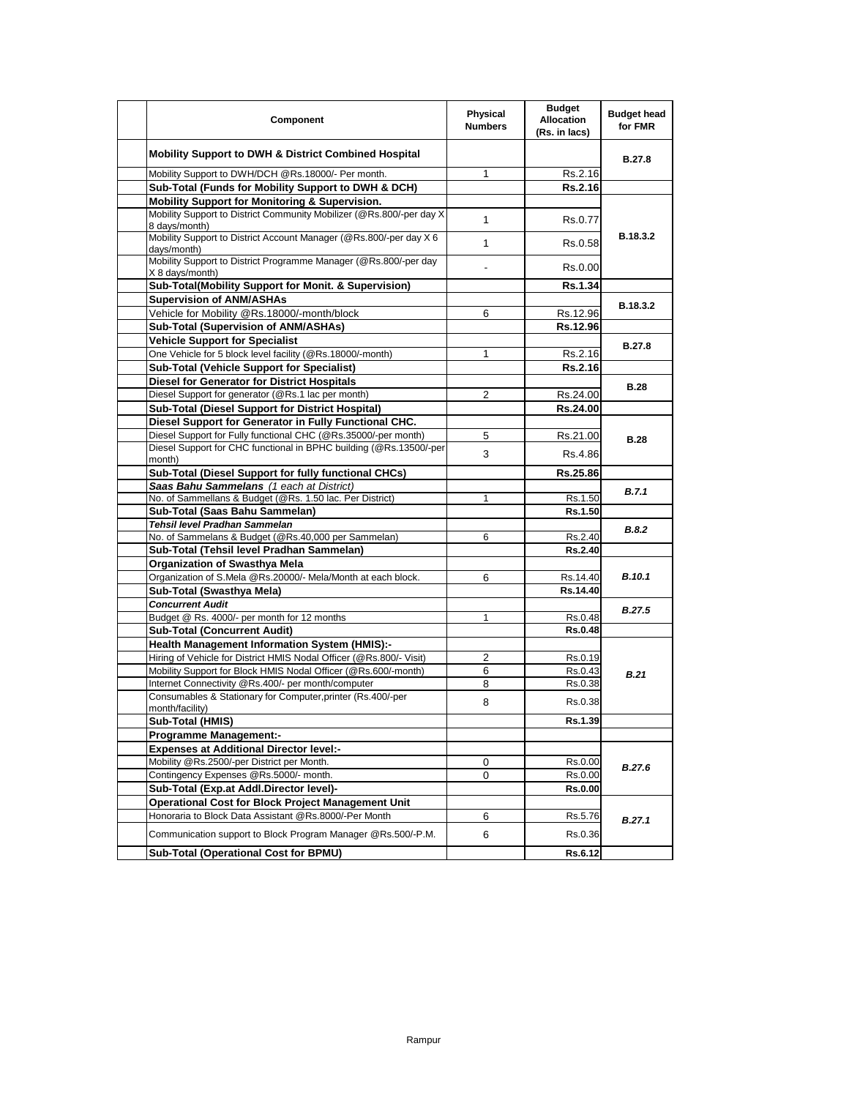| Component                                                                                                         | <b>Physical</b><br><b>Numbers</b> | <b>Budget</b><br><b>Allocation</b><br>(Rs. in lacs) | <b>Budget head</b><br>for FMR |
|-------------------------------------------------------------------------------------------------------------------|-----------------------------------|-----------------------------------------------------|-------------------------------|
| Mobility Support to DWH & District Combined Hospital                                                              |                                   |                                                     | <b>B.27.8</b>                 |
| Mobility Support to DWH/DCH @Rs.18000/- Per month.                                                                | $\mathbf{1}$                      | Rs.2.16                                             |                               |
| Sub-Total (Funds for Mobility Support to DWH & DCH)                                                               |                                   | Rs.2.16                                             |                               |
| Mobility Support for Monitoring & Supervision.                                                                    |                                   |                                                     |                               |
| Mobility Support to District Community Mobilizer (@Rs.800/-per day X<br>8 days/month)                             | $\mathbf{1}$                      | Rs.0.77                                             |                               |
| Mobility Support to District Account Manager (@Rs.800/-per day X 6<br>days/month)                                 | $\mathbf{1}$                      | Rs.0.58                                             | B.18.3.2                      |
| Mobility Support to District Programme Manager (@Rs.800/-per day<br>X 8 days/month)                               |                                   | Rs.0.00                                             |                               |
| Sub-Total(Mobility Support for Monit. & Supervision)                                                              |                                   | <b>Rs.1.34</b>                                      |                               |
| <b>Supervision of ANM/ASHAs</b>                                                                                   |                                   |                                                     |                               |
| Vehicle for Mobility @Rs.18000/-month/block                                                                       | 6                                 | Rs.12.96                                            | B.18.3.2                      |
| Sub-Total (Supervision of ANM/ASHAs)                                                                              |                                   | Rs.12.96                                            |                               |
| <b>Vehicle Support for Specialist</b>                                                                             |                                   |                                                     |                               |
| One Vehicle for 5 block level facility (@Rs.18000/-month)                                                         | 1                                 | Rs.2.16                                             | <b>B.27.8</b>                 |
| Sub-Total (Vehicle Support for Specialist)                                                                        |                                   | Rs.2.16                                             |                               |
| Diesel for Generator for District Hospitals                                                                       |                                   |                                                     |                               |
| Diesel Support for generator (@Rs.1 lac per month)                                                                | 2                                 | Rs.24.00                                            | <b>B.28</b>                   |
| Sub-Total (Diesel Support for District Hospital)                                                                  |                                   | Rs.24.00                                            |                               |
| Diesel Support for Generator in Fully Functional CHC.                                                             |                                   |                                                     |                               |
| Diesel Support for Fully functional CHC (@Rs.35000/-per month)                                                    | 5                                 | Rs.21.00                                            |                               |
| Diesel Support for CHC functional in BPHC building (@Rs.13500/-per                                                |                                   |                                                     | <b>B.28</b>                   |
| month)                                                                                                            | 3                                 | Rs.4.86                                             |                               |
| Sub-Total (Diesel Support for fully functional CHCs)                                                              |                                   | Rs.25.86                                            |                               |
| Saas Bahu Sammelans (1 each at District)                                                                          |                                   |                                                     | B.7.1                         |
| No. of Sammellans & Budget (@Rs. 1.50 lac. Per District)                                                          | 1                                 | Rs.1.50                                             |                               |
| Sub-Total (Saas Bahu Sammelan)                                                                                    |                                   | Rs.1.50                                             |                               |
| Tehsil level Pradhan Sammelan                                                                                     |                                   |                                                     | <b>B.8.2</b>                  |
| No. of Sammelans & Budget (@Rs.40,000 per Sammelan)                                                               | 6                                 | Rs.2.40                                             |                               |
| Sub-Total (Tehsil level Pradhan Sammelan)                                                                         |                                   | <b>Rs.2.40</b>                                      |                               |
| <b>Organization of Swasthya Mela</b>                                                                              |                                   |                                                     |                               |
| Organization of S.Mela @Rs.20000/- Mela/Month at each block.                                                      | 6                                 | Rs.14.40                                            | <b>B.10.1</b>                 |
| Sub-Total (Swasthya Mela)                                                                                         |                                   | Rs.14.40                                            |                               |
| <b>Concurrent Audit</b>                                                                                           |                                   |                                                     | <b>B.27.5</b>                 |
| Budget @ Rs. 4000/- per month for 12 months                                                                       | 1                                 | Rs 0.48                                             |                               |
| <b>Sub-Total (Concurrent Audit)</b>                                                                               |                                   | <b>Rs.0.48</b>                                      |                               |
| Health Management Information System (HMIS):-                                                                     |                                   |                                                     |                               |
| Hiring of Vehicle for District HMIS Nodal Officer (@Rs.800/- Visit)                                               | 2                                 | Rs.0.19                                             |                               |
| Mobility Support for Block HMIS Nodal Officer (@Rs.600/-month)                                                    | 6                                 | Rs.0.43                                             | B.21                          |
| Internet Connectivity @Rs.400/- per month/computer<br>Consumables & Stationary for Computer, printer (Rs.400/-per | 8                                 | Rs.0.38                                             |                               |
| month/facility)                                                                                                   | 8                                 | Rs 0.38                                             |                               |
| Sub-Total (HMIS)                                                                                                  |                                   | Rs.1.39                                             |                               |
| <b>Programme Management:-</b>                                                                                     |                                   |                                                     |                               |
| <b>Expenses at Additional Director level:-</b>                                                                    |                                   |                                                     |                               |
| Mobility @Rs.2500/-per District per Month.                                                                        | 0                                 | Rs.0.00                                             |                               |
| Contingency Expenses @Rs.5000/- month.                                                                            | 0                                 | Rs.0.00                                             | B.27.6                        |
| Sub-Total (Exp.at Addl.Director level)-                                                                           |                                   | <b>Rs.0.00</b>                                      |                               |
| <b>Operational Cost for Block Project Management Unit</b>                                                         |                                   |                                                     | B.27.1                        |
| Honoraria to Block Data Assistant @Rs.8000/-Per Month                                                             | 6                                 | Rs.5.76                                             |                               |
| Communication support to Block Program Manager @Rs.500/-P.M.                                                      | 6                                 | Rs.0.36                                             |                               |
| Sub-Total (Operational Cost for BPMU)                                                                             |                                   | Rs.6.12                                             |                               |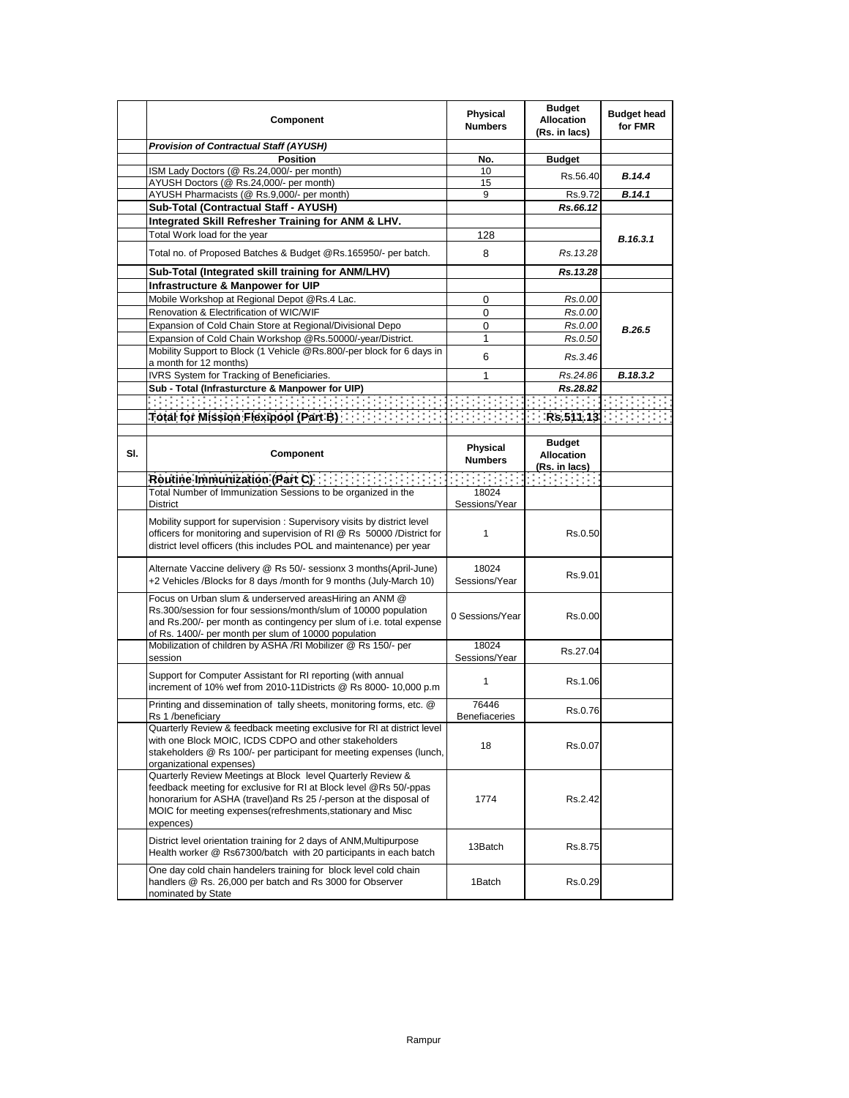|     | Component                                                                                                                                                                                                                                                                          | Physical<br><b>Numbers</b> | <b>Budget</b><br><b>Allocation</b><br>(Rs. in lacs) | <b>Budget head</b><br>for FMR |
|-----|------------------------------------------------------------------------------------------------------------------------------------------------------------------------------------------------------------------------------------------------------------------------------------|----------------------------|-----------------------------------------------------|-------------------------------|
|     | <b>Provision of Contractual Staff (AYUSH)</b>                                                                                                                                                                                                                                      |                            |                                                     |                               |
|     | <b>Position</b>                                                                                                                                                                                                                                                                    | No.                        | <b>Budget</b>                                       |                               |
|     | ISM Lady Doctors (@ Rs.24,000/- per month)<br>AYUSH Doctors (@ Rs.24,000/- per month)                                                                                                                                                                                              | 10<br>15                   | Rs.56.40                                            | <b>B.14.4</b>                 |
|     | AYUSH Pharmacists (@ Rs.9,000/- per month)                                                                                                                                                                                                                                         | 9                          | Rs.9.72                                             | B.14.1                        |
|     | Sub-Total (Contractual Staff - AYUSH)                                                                                                                                                                                                                                              |                            | Rs.66.12                                            |                               |
|     | Integrated Skill Refresher Training for ANM & LHV.                                                                                                                                                                                                                                 |                            |                                                     |                               |
|     | Total Work load for the year                                                                                                                                                                                                                                                       | 128                        |                                                     | B.16.3.1                      |
|     | Total no. of Proposed Batches & Budget @Rs.165950/- per batch.                                                                                                                                                                                                                     | 8                          | Rs. 13.28                                           |                               |
|     | Sub-Total (Integrated skill training for ANM/LHV)                                                                                                                                                                                                                                  |                            | Rs.13.28                                            |                               |
|     | Infrastructure & Manpower for UIP                                                                                                                                                                                                                                                  |                            |                                                     |                               |
|     | Mobile Workshop at Regional Depot @Rs.4 Lac.                                                                                                                                                                                                                                       | 0                          | Rs.0.00                                             |                               |
|     | Renovation & Electrification of WIC/WIF                                                                                                                                                                                                                                            | 0                          | Rs.0.00                                             |                               |
|     | Expansion of Cold Chain Store at Regional/Divisional Depo                                                                                                                                                                                                                          | 0                          | Rs.0.00                                             | <b>B.26.5</b>                 |
|     | Expansion of Cold Chain Workshop @Rs.50000/-year/District.                                                                                                                                                                                                                         | 1                          | Rs.0.50                                             |                               |
|     | Mobility Support to Block (1 Vehicle @Rs.800/-per block for 6 days in<br>a month for 12 months)                                                                                                                                                                                    | 6                          | Rs.3.46                                             |                               |
|     | IVRS System for Tracking of Beneficiaries.                                                                                                                                                                                                                                         | 1                          | Rs.24.86                                            | B.18.3.2                      |
|     | Sub - Total (Infrasturcture & Manpower for UIP)                                                                                                                                                                                                                                    |                            | Rs.28.82                                            |                               |
|     | in de de des de la caractería de la caractería de la caractería de la caractería de la caractería de la caract<br>De la caractería de la caractería de la caractería de la caractería de la caractería de la caractería de la ca                                                   |                            |                                                     |                               |
|     |                                                                                                                                                                                                                                                                                    |                            |                                                     |                               |
|     |                                                                                                                                                                                                                                                                                    |                            |                                                     |                               |
| SI. | <b>Component</b>                                                                                                                                                                                                                                                                   | Physical<br><b>Numbers</b> | <b>Budget</b><br><b>Allocation</b><br>(Rs. in lacs) |                               |
|     | Routine Immunization (Part $C$ ) $\cdots$ $\cdots$ $\cdots$ $\cdots$                                                                                                                                                                                                               | an an am                   | <b>Service Control</b>                              |                               |
|     | Total Number of Immunization Sessions to be organized in the                                                                                                                                                                                                                       | 18024                      |                                                     |                               |
|     | District                                                                                                                                                                                                                                                                           | Sessions/Year              |                                                     |                               |
|     | Mobility support for supervision: Supervisory visits by district level<br>officers for monitoring and supervision of RI @ Rs 50000 /District for<br>district level officers (this includes POL and maintenance) per year                                                           | 1                          | Rs.0.50                                             |                               |
|     | Alternate Vaccine delivery @ Rs 50/- sessionx 3 months(April-June)<br>+2 Vehicles /Blocks for 8 days /month for 9 months (July-March 10)                                                                                                                                           | 18024<br>Sessions/Year     | Rs.9.01                                             |                               |
|     | Focus on Urban slum & underserved areasHiring an ANM @<br>Rs.300/session for four sessions/month/slum of 10000 population<br>and Rs.200/- per month as contingency per slum of i.e. total expense<br>of Rs. 1400/- per month per slum of 10000 population                          | 0 Sessions/Year            | Rs.0.00                                             |                               |
|     | Mobilization of children by ASHA /RI Mobilizer @ Rs 150/- per<br>session                                                                                                                                                                                                           | 18024<br>Sessions/Year     | Rs.27.04                                            |                               |
|     | Support for Computer Assistant for RI reporting (with annual<br>increment of 10% wef from 2010-11Districts @ Rs 8000- 10,000 p.m                                                                                                                                                   | 1                          | Rs.1.06                                             |                               |
|     | Printing and dissemination of tally sheets, monitoring forms, etc. @<br>Rs 1 /beneficiary                                                                                                                                                                                          | 76446<br>Benefiaceries     | Rs.0.76                                             |                               |
|     | Quarterly Review & feedback meeting exclusive for RI at district level<br>with one Block MOIC, ICDS CDPO and other stakeholders<br>stakeholders @ Rs 100/- per participant for meeting expenses (lunch,<br>organizational expenses)                                                | 18                         | Rs.0.07                                             |                               |
|     | Quarterly Review Meetings at Block level Quarterly Review &<br>feedback meeting for exclusive for RI at Block level @Rs 50/-ppas<br>honorarium for ASHA (travel) and Rs 25 /-person at the disposal of<br>MOIC for meeting expenses(refreshments, stationary and Misc<br>expences) | 1774                       | Rs.2.42                                             |                               |
|     | District level orientation training for 2 days of ANM, Multipurpose<br>Health worker @ Rs67300/batch with 20 participants in each batch                                                                                                                                            | 13Batch                    | Rs.8.75                                             |                               |
|     | One day cold chain handelers training for block level cold chain<br>handlers @ Rs. 26,000 per batch and Rs 3000 for Observer<br>nominated by State                                                                                                                                 | 1Batch                     | Rs.0.29                                             |                               |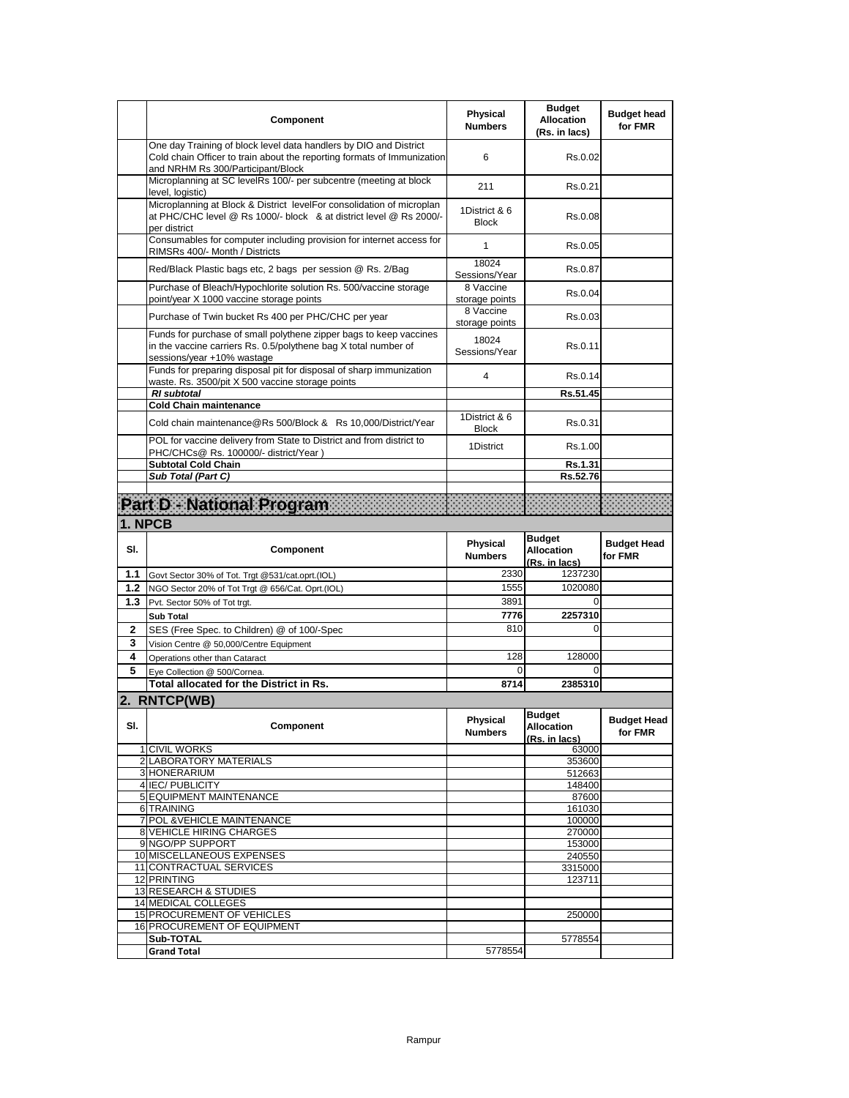|        | Component                                                                                                                                                                         | Physical<br><b>Numbers</b>        | <b>Budget</b><br><b>Allocation</b><br>(Rs. in lacs) | <b>Budget head</b><br>for FMR |
|--------|-----------------------------------------------------------------------------------------------------------------------------------------------------------------------------------|-----------------------------------|-----------------------------------------------------|-------------------------------|
|        | One day Training of block level data handlers by DIO and District<br>Cold chain Officer to train about the reporting formats of Immunization<br>and NRHM Rs 300/Participant/Block | 6                                 | Rs.0.02                                             |                               |
|        | Microplanning at SC levelRs 100/- per subcentre (meeting at block<br>level, logistic)                                                                                             | 211                               | Rs.0.21                                             |                               |
|        | Microplanning at Block & District levelFor consolidation of microplan<br>at PHC/CHC level @ Rs 1000/- block & at district level @ Rs 2000/-<br>per district                       | 1District & 6<br><b>Block</b>     | Rs.0.08                                             |                               |
|        | Consumables for computer including provision for internet access for<br>RIMSRs 400/- Month / Districts                                                                            | 1                                 | Rs.0.05                                             |                               |
|        | Red/Black Plastic bags etc, 2 bags per session @ Rs. 2/Bag                                                                                                                        | 18024<br>Sessions/Year            | Rs.0.87                                             |                               |
|        | Purchase of Bleach/Hypochlorite solution Rs. 500/vaccine storage<br>point/year X 1000 vaccine storage points                                                                      | 8 Vaccine<br>storage points       | Rs.0.04                                             |                               |
|        | Purchase of Twin bucket Rs 400 per PHC/CHC per year                                                                                                                               | 8 Vaccine<br>storage points       | Rs.0.03                                             |                               |
|        | Funds for purchase of small polythene zipper bags to keep vaccines<br>in the vaccine carriers Rs. 0.5/polythene bag X total number of<br>sessions/year +10% wastage               | 18024<br>Sessions/Year            | Rs.0.11                                             |                               |
|        | Funds for preparing disposal pit for disposal of sharp immunization<br>waste. Rs. 3500/pit X 500 vaccine storage points                                                           | 4                                 | Rs.0.14                                             |                               |
|        | <b>RI</b> subtotal                                                                                                                                                                |                                   | Rs.51.45                                            |                               |
|        | <b>Cold Chain maintenance</b><br>Cold chain maintenance@Rs 500/Block & Rs 10,000/District/Year                                                                                    | 1District & 6<br><b>Block</b>     | Rs.0.31                                             |                               |
|        | POL for vaccine delivery from State to District and from district to<br>PHC/CHCs@ Rs. 100000/- district/Year )                                                                    | 1District                         | Rs.1.00                                             |                               |
|        | <b>Subtotal Cold Chain</b>                                                                                                                                                        |                                   | Rs.1.31                                             |                               |
|        | Sub Total (Part C)                                                                                                                                                                |                                   | Rs.52.76                                            |                               |
|        | Part D - National Program                                                                                                                                                         |                                   |                                                     |                               |
|        | 1. NPCB                                                                                                                                                                           |                                   |                                                     |                               |
|        |                                                                                                                                                                                   |                                   |                                                     |                               |
| SI.    | Component                                                                                                                                                                         | <b>Physical</b><br><b>Numbers</b> | <b>Budget</b><br><b>Allocation</b><br>(Rs. in lacs) | <b>Budget Head</b><br>for FMR |
| 1.1    | Govt Sector 30% of Tot. Trgt @531/cat.oprt.(IOL)                                                                                                                                  | 2330                              | 1237230                                             |                               |
| 1.2    | NGO Sector 20% of Tot Trgt @ 656/Cat. Oprt.(IOL)                                                                                                                                  | 1555                              | 1020080                                             |                               |
| 1.3    | Pvt. Sector 50% of Tot trgt.                                                                                                                                                      | 3891                              | $\Omega$                                            |                               |
|        | <b>Sub Total</b>                                                                                                                                                                  | 7776                              | 2257310<br>0                                        |                               |
| 2<br>3 | SES (Free Spec. to Children) @ of 100/-Spec                                                                                                                                       | 810                               |                                                     |                               |
| 4      | Vision Centre @ 50,000/Centre Equipment<br>Operations other than Cataract                                                                                                         | 128                               | 128000                                              |                               |
| 5      | Eye Collection @ 500/Cornea.                                                                                                                                                      | $\Omega$                          | $\Omega$                                            |                               |
|        | <b>Total allocated for the District in Rs.</b>                                                                                                                                    | 8714                              | 2385310                                             |                               |
|        | 2. RNTCP(WB)                                                                                                                                                                      |                                   |                                                     |                               |
| SI.    | Component                                                                                                                                                                         | Physical<br><b>Numbers</b>        | <b>Budget</b><br>Allocation<br>(Rs. in lacs)        | <b>Budget Head</b><br>for FMR |
|        | 1 CIVIL WORKS                                                                                                                                                                     |                                   | 63000                                               |                               |
|        | 2 LABORATORY MATERIALS<br>3 HONERARIUM                                                                                                                                            |                                   | 353600<br>512663                                    |                               |
|        | 4 IEC/ PUBLICITY                                                                                                                                                                  |                                   | 148400                                              |                               |
|        | <b>5 EQUIPMENT MAINTENANCE</b>                                                                                                                                                    |                                   | 87600                                               |                               |
|        | 6 TRAINING<br>7 POL & VEHICLE MAINTENANCE                                                                                                                                         |                                   | 161030<br>100000                                    |                               |
|        | <b>8 VEHICLE HIRING CHARGES</b>                                                                                                                                                   |                                   | 270000                                              |                               |
|        | 9 NGO/PP SUPPORT                                                                                                                                                                  |                                   | 153000                                              |                               |
|        | 10 MISCELLANEOUS EXPENSES<br>11 CONTRACTUAL SERVICES                                                                                                                              |                                   | 240550                                              |                               |
|        | 12 PRINTING                                                                                                                                                                       |                                   | 3315000<br>123711                                   |                               |
|        | 13 RESEARCH & STUDIES                                                                                                                                                             |                                   |                                                     |                               |
|        | 14 MEDICAL COLLEGES                                                                                                                                                               |                                   |                                                     |                               |
|        | 15 PROCUREMENT OF VEHICLES<br>16 PROCUREMENT OF EQUIPMENT                                                                                                                         |                                   | 250000                                              |                               |
|        | Sub-TOTAL<br><b>Grand Total</b>                                                                                                                                                   | 5778554                           | 5778554                                             |                               |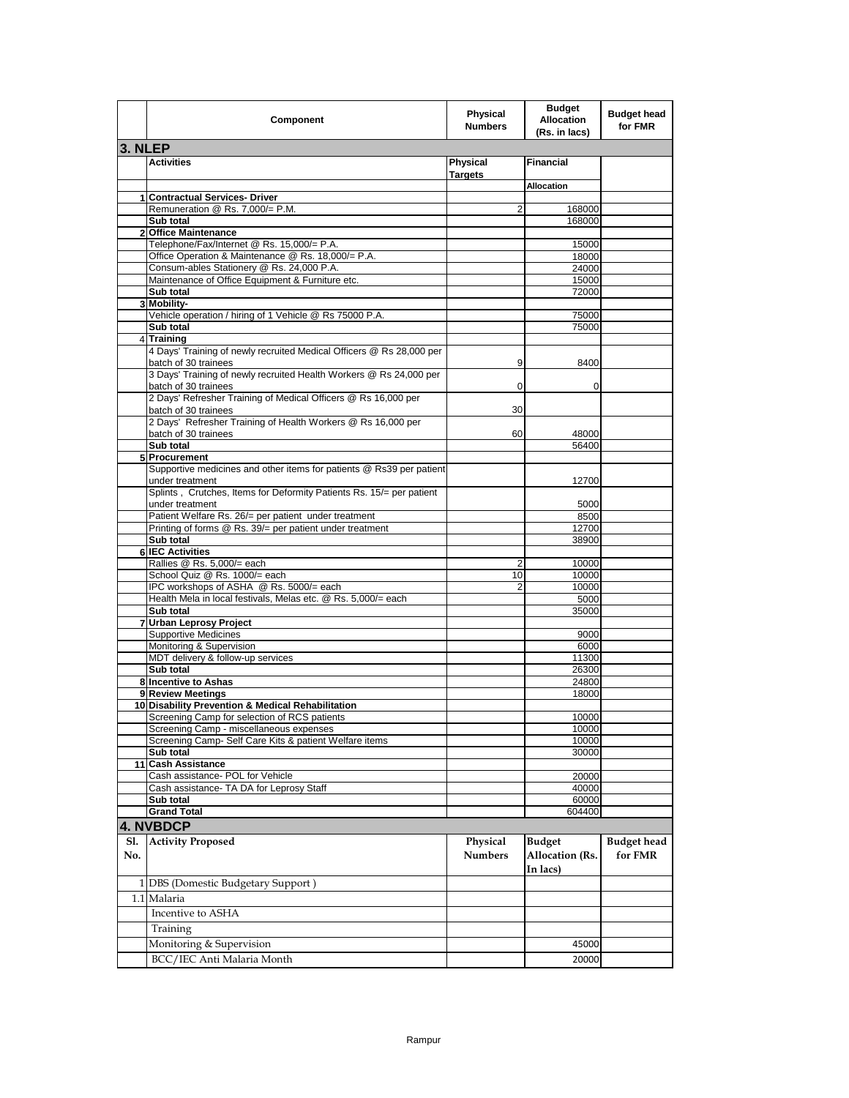|              | Component                                                                                         | Physical<br><b>Numbers</b> | <b>Budget</b><br><b>Allocation</b><br>(Rs. in lacs) | <b>Budget head</b><br>for FMR |
|--------------|---------------------------------------------------------------------------------------------------|----------------------------|-----------------------------------------------------|-------------------------------|
| 3. NLEP      |                                                                                                   |                            |                                                     |                               |
|              | <b>Activities</b>                                                                                 | Physical<br><b>Targets</b> | <b>Financial</b>                                    |                               |
|              |                                                                                                   |                            | <b>Allocation</b>                                   |                               |
| $\mathbf{1}$ | <b>Contractual Services- Driver</b><br>Remuneration @ Rs. 7,000/= P.M.                            | 2                          | 168000                                              |                               |
|              | Sub total                                                                                         |                            | 168000                                              |                               |
|              | 2 Office Maintenance                                                                              |                            |                                                     |                               |
|              | Telephone/Fax/Internet @ Rs. 15,000/= P.A.                                                        |                            | 15000                                               |                               |
|              | Office Operation & Maintenance @ Rs. 18,000/= P.A.                                                |                            | 18000                                               |                               |
|              | Consum-ables Stationery @ Rs. 24,000 P.A.                                                         |                            | 24000                                               |                               |
|              | Maintenance of Office Equipment & Furniture etc.<br>Sub total                                     |                            | 15000<br>72000                                      |                               |
|              | 3 Mobility-                                                                                       |                            |                                                     |                               |
|              | Vehicle operation / hiring of 1 Vehicle @ Rs 75000 P.A.                                           |                            | 75000                                               |                               |
|              | Sub total                                                                                         |                            | 75000                                               |                               |
|              | 4 Training                                                                                        |                            |                                                     |                               |
|              | 4 Days' Training of newly recruited Medical Officers @ Rs 28,000 per                              |                            |                                                     |                               |
|              | batch of 30 trainees<br>3 Days' Training of newly recruited Health Workers @ Rs 24,000 per        | 9                          | 8400                                                |                               |
|              | batch of 30 trainees                                                                              | 0                          | 0                                                   |                               |
|              | 2 Days' Refresher Training of Medical Officers @ Rs 16,000 per                                    |                            |                                                     |                               |
|              | batch of 30 trainees                                                                              | 30                         |                                                     |                               |
|              | 2 Days' Refresher Training of Health Workers @ Rs 16,000 per                                      |                            |                                                     |                               |
|              | batch of 30 trainees                                                                              | 60                         | 48000                                               |                               |
|              | Sub total                                                                                         |                            | 56400                                               |                               |
|              | 5 Procurement<br>Supportive medicines and other items for patients @ Rs39 per patient             |                            |                                                     |                               |
|              | under treatment                                                                                   |                            | 12700                                               |                               |
|              | Splints, Crutches, Items for Deformity Patients Rs. 15/= per patient                              |                            |                                                     |                               |
|              | under treatment                                                                                   |                            | 5000                                                |                               |
|              | Patient Welfare Rs. 26/= per patient under treatment                                              |                            | 8500                                                |                               |
|              | Printing of forms @ Rs. 39/= per patient under treatment                                          |                            | 12700                                               |                               |
|              | Sub total                                                                                         |                            | 38900                                               |                               |
|              | <b>6 IEC Activities</b><br>Rallies @ Rs. 5,000/= each                                             | 2                          | 10000                                               |                               |
|              | School Quiz @ Rs. 1000/= each                                                                     | 10                         | 10000                                               |                               |
|              | IPC workshops of ASHA @ Rs. 5000/= each                                                           | $\overline{2}$             | 10000                                               |                               |
|              | Health Mela in local festivals, Melas etc. @ Rs. 5,000/= each                                     |                            | 5000                                                |                               |
|              | Sub total                                                                                         |                            | 35000                                               |                               |
| 7            | <b>Urban Leprosy Project</b>                                                                      |                            |                                                     |                               |
|              | <b>Supportive Medicines</b>                                                                       |                            | 9000<br>6000                                        |                               |
|              | Monitoring & Supervision<br>MDT delivery & follow-up services                                     |                            | 11300                                               |                               |
|              | Sub total                                                                                         |                            | 26300                                               |                               |
|              | 8 Incentive to Ashas                                                                              |                            | 24800                                               |                               |
|              | 9 Review Meetings                                                                                 |                            | 18000                                               |                               |
|              | 10 Disability Prevention & Medical Rehabilitation                                                 |                            |                                                     |                               |
|              | Screening Camp for selection of RCS patients                                                      |                            | 10000                                               |                               |
|              | Screening Camp - miscellaneous expenses<br>Screening Camp- Self Care Kits & patient Welfare items |                            | 10000<br>10000                                      |                               |
|              | Sub total                                                                                         |                            | 30000                                               |                               |
|              | 11 Cash Assistance                                                                                |                            |                                                     |                               |
|              | Cash assistance- POL for Vehicle                                                                  |                            | 20000                                               |                               |
|              | Cash assistance- TA DA for Leprosy Staff                                                          |                            | 40000                                               |                               |
|              | Sub total                                                                                         |                            | 60000                                               |                               |
|              | <b>Grand Total</b>                                                                                |                            | 604400                                              |                               |
|              | <b>4. NVBDCP</b>                                                                                  |                            |                                                     |                               |
| Sl.<br>No.   | <b>Activity Proposed</b>                                                                          | Physical<br><b>Numbers</b> | <b>Budget</b><br>Allocation (Rs.<br>In lacs)        | <b>Budget head</b><br>for FMR |
|              | 1 DBS (Domestic Budgetary Support)                                                                |                            |                                                     |                               |
|              | 1.1 Malaria                                                                                       |                            |                                                     |                               |
|              | Incentive to ASHA                                                                                 |                            |                                                     |                               |
|              |                                                                                                   |                            |                                                     |                               |
|              | Training                                                                                          |                            |                                                     |                               |
|              | Monitoring & Supervision                                                                          |                            | 45000                                               |                               |
|              | BCC/IEC Anti Malaria Month                                                                        |                            | 20000                                               |                               |
|              |                                                                                                   |                            |                                                     |                               |